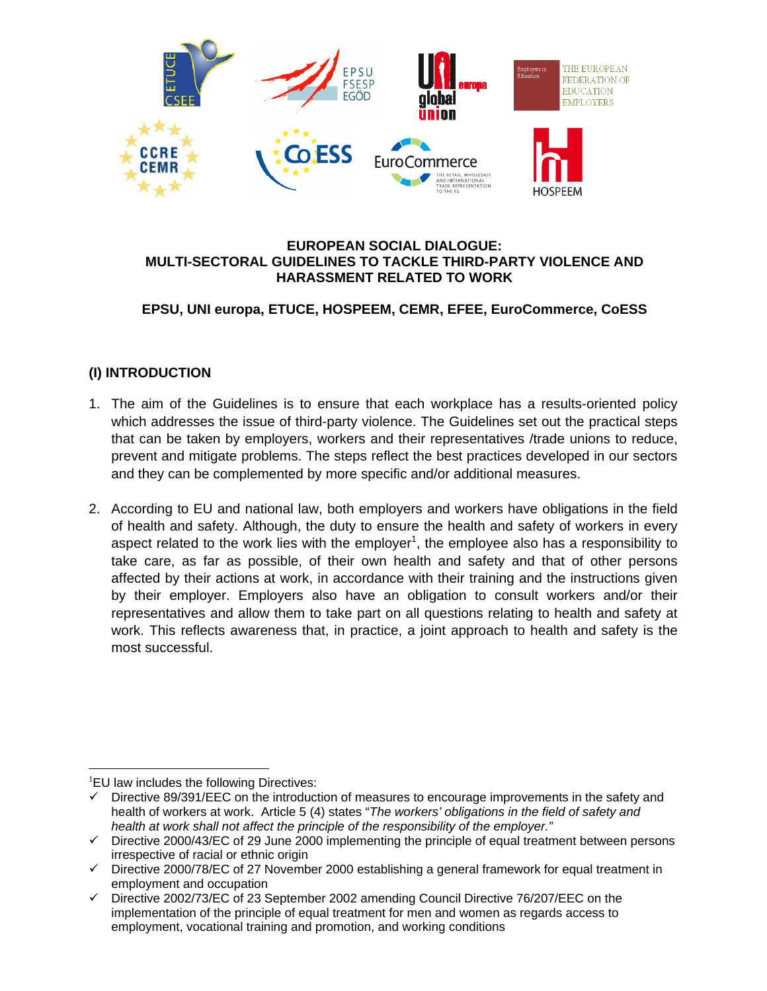

#### **EUROPEAN SOCIAL DIALOGUE: MULTI-SECTORAL GUIDELINES TO TACKLE THIRD-PARTY VIOLENCE AND HARASSMENT RELATED TO WORK**

# **EPSU, UNI europa, ETUCE, HOSPEEM, CEMR, EFEE, EuroCommerce, CoESS**

# **(I) INTRODUCTION**

- 1. The aim of the Guidelines is to ensure that each workplace has a results-oriented policy which addresses the issue of third-party violence. The Guidelines set out the practical steps that can be taken by employers, workers and their representatives /trade unions to reduce, prevent and mitigate problems. The steps reflect the best practices developed in our sectors and they can be complemented by more specific and/or additional measures.
- 2. According to EU and national law, both employers and workers have obligations in the field of health and safety. Although, the duty to ensure the health and safety of workers in every aspect related to the work lies with the employer<sup>1</sup>, the employee also has a responsibility to take care, as far as possible, of their own health and safety and that of other persons affected by their actions at work, in accordance with their training and the instructions given by their employer. Employers also have an obligation to consult workers and/or their representatives and allow them to take part on all questions relating to health and safety at work. This reflects awareness that, in practice, a joint approach to health and safety is the most successful.

 $\overline{a}$ <sup>1</sup>EU law includes the following Directives:

 $\checkmark$  Directive 89/391/EEC on the introduction of measures to encourage improvements in the safety and health of workers at work. Article 5 (4) states "*The workers' obligations in the field of safety and health at work shall not affect the principle of the responsibility of the employer."* 

 $\checkmark$  Directive 2000/43/EC of 29 June 2000 implementing the principle of equal treatment between persons irrespective of racial or ethnic origin

 $\checkmark$  Directive 2000/78/EC of 27 November 2000 establishing a general framework for equal treatment in employment and occupation

 $\checkmark$  Directive 2002/73/EC of 23 September 2002 amending Council Directive 76/207/EEC on the implementation of the principle of equal treatment for men and women as regards access to employment, vocational training and promotion, and working conditions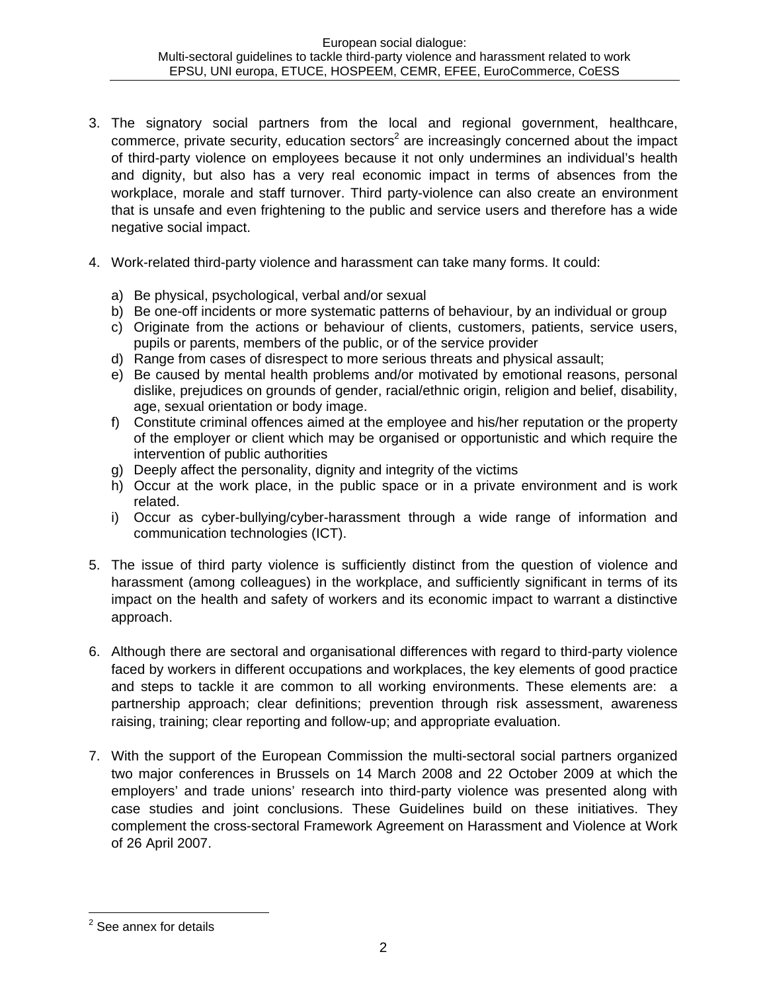- 3. The signatory social partners from the local and regional government, healthcare, commerce, private security, education sectors<sup>2</sup> are increasingly concerned about the impact of third-party violence on employees because it not only undermines an individual's health and dignity, but also has a very real economic impact in terms of absences from the workplace, morale and staff turnover. Third party-violence can also create an environment that is unsafe and even frightening to the public and service users and therefore has a wide negative social impact.
- 4. Work-related third-party violence and harassment can take many forms. It could:
	- a) Be physical, psychological, verbal and/or sexual
	- b) Be one-off incidents or more systematic patterns of behaviour, by an individual or group
	- c) Originate from the actions or behaviour of clients, customers, patients, service users, pupils or parents, members of the public, or of the service provider
	- d) Range from cases of disrespect to more serious threats and physical assault;
	- e) Be caused by mental health problems and/or motivated by emotional reasons, personal dislike, prejudices on grounds of gender, racial/ethnic origin, religion and belief, disability, age, sexual orientation or body image.
	- f) Constitute criminal offences aimed at the employee and his/her reputation or the property of the employer or client which may be organised or opportunistic and which require the intervention of public authorities
	- g) Deeply affect the personality, dignity and integrity of the victims
	- h) Occur at the work place, in the public space or in a private environment and is work related.
	- i) Occur as cyber-bullying/cyber-harassment through a wide range of information and communication technologies (ICT).
- 5. The issue of third party violence is sufficiently distinct from the question of violence and harassment (among colleagues) in the workplace, and sufficiently significant in terms of its impact on the health and safety of workers and its economic impact to warrant a distinctive approach.
- 6. Although there are sectoral and organisational differences with regard to third-party violence faced by workers in different occupations and workplaces, the key elements of good practice and steps to tackle it are common to all working environments. These elements are: a partnership approach; clear definitions; prevention through risk assessment, awareness raising, training; clear reporting and follow-up; and appropriate evaluation.
- 7. With the support of the European Commission the multi-sectoral social partners organized two major conferences in Brussels on 14 March 2008 and 22 October 2009 at which the employers' and trade unions' research into third-party violence was presented along with case studies and joint conclusions. These Guidelines build on these initiatives. They complement the cross-sectoral Framework Agreement on Harassment and Violence at Work of 26 April 2007.

<sup>&</sup>lt;u>essee annex for details</u><br>Lettails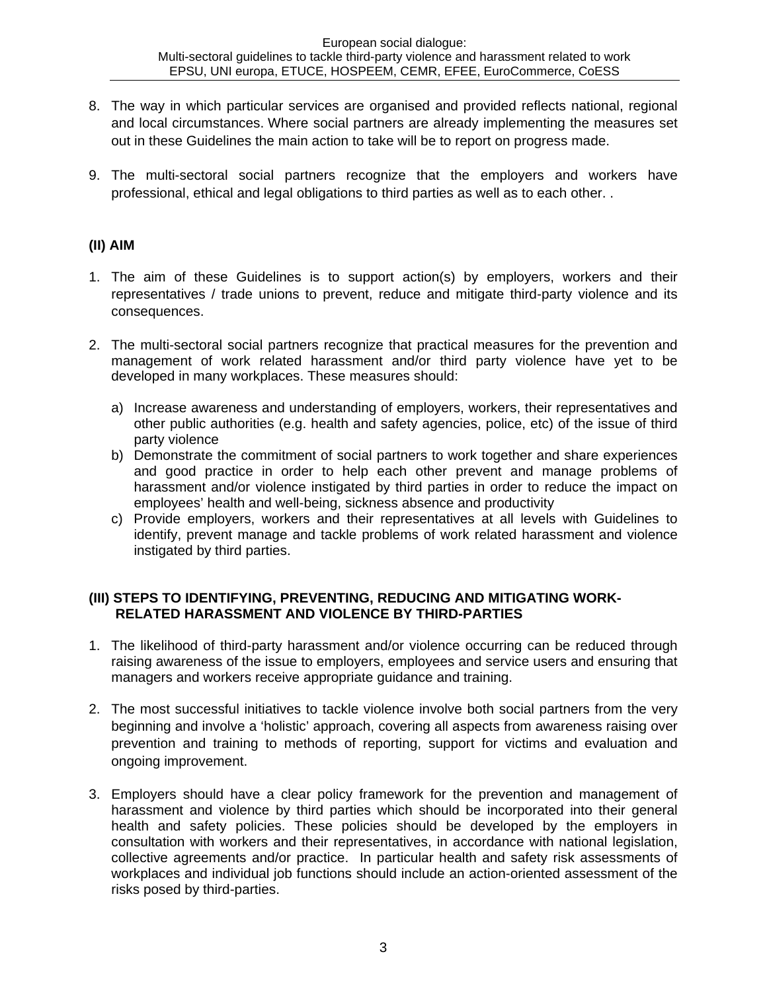- 8. The way in which particular services are organised and provided reflects national, regional and local circumstances. Where social partners are already implementing the measures set out in these Guidelines the main action to take will be to report on progress made.
- 9. The multi-sectoral social partners recognize that the employers and workers have professional, ethical and legal obligations to third parties as well as to each other. .

### **(II) AIM**

- 1. The aim of these Guidelines is to support action(s) by employers, workers and their representatives / trade unions to prevent, reduce and mitigate third-party violence and its consequences.
- 2. The multi-sectoral social partners recognize that practical measures for the prevention and management of work related harassment and/or third party violence have yet to be developed in many workplaces. These measures should:
	- a) Increase awareness and understanding of employers, workers, their representatives and other public authorities (e.g. health and safety agencies, police, etc) of the issue of third party violence
	- b) Demonstrate the commitment of social partners to work together and share experiences and good practice in order to help each other prevent and manage problems of harassment and/or violence instigated by third parties in order to reduce the impact on employees' health and well-being, sickness absence and productivity
	- c) Provide employers, workers and their representatives at all levels with Guidelines to identify, prevent manage and tackle problems of work related harassment and violence instigated by third parties.

### **(III) STEPS TO IDENTIFYING, PREVENTING, REDUCING AND MITIGATING WORK-RELATED HARASSMENT AND VIOLENCE BY THIRD-PARTIES**

- 1. The likelihood of third-party harassment and/or violence occurring can be reduced through raising awareness of the issue to employers, employees and service users and ensuring that managers and workers receive appropriate guidance and training.
- 2. The most successful initiatives to tackle violence involve both social partners from the very beginning and involve a 'holistic' approach, covering all aspects from awareness raising over prevention and training to methods of reporting, support for victims and evaluation and ongoing improvement.
- 3. Employers should have a clear policy framework for the prevention and management of harassment and violence by third parties which should be incorporated into their general health and safety policies. These policies should be developed by the employers in consultation with workers and their representatives, in accordance with national legislation, collective agreements and/or practice. In particular health and safety risk assessments of workplaces and individual job functions should include an action-oriented assessment of the risks posed by third-parties.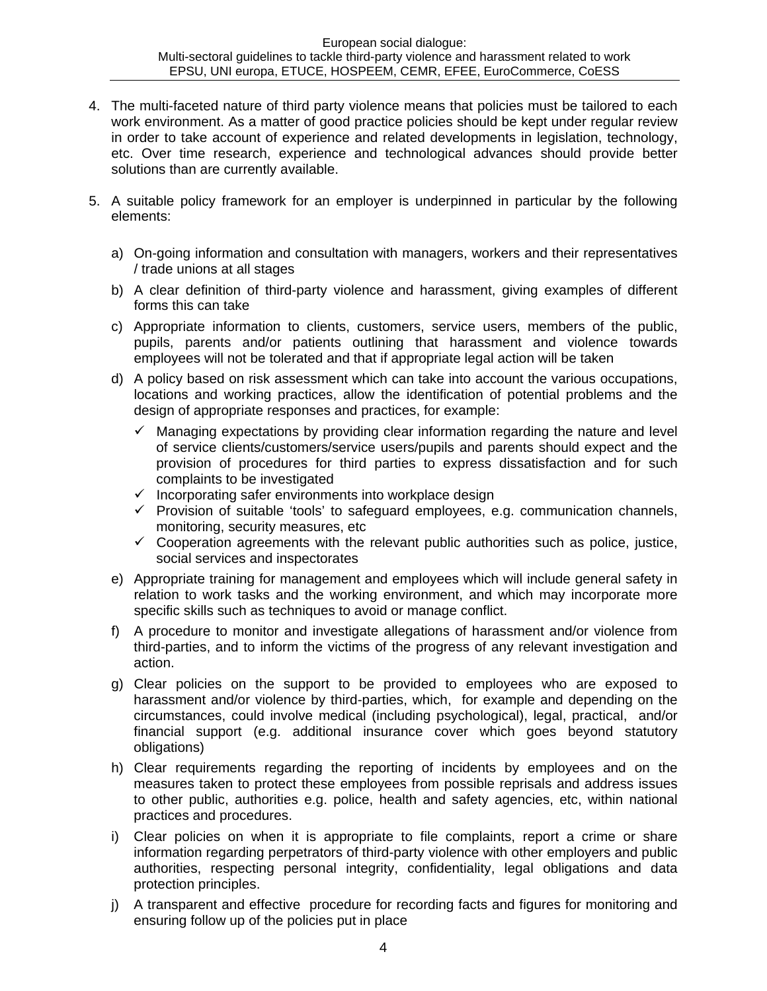- 4. The multi-faceted nature of third party violence means that policies must be tailored to each work environment. As a matter of good practice policies should be kept under regular review in order to take account of experience and related developments in legislation, technology, etc. Over time research, experience and technological advances should provide better solutions than are currently available.
- 5. A suitable policy framework for an employer is underpinned in particular by the following elements:
	- a) On-going information and consultation with managers, workers and their representatives / trade unions at all stages
	- b) A clear definition of third-party violence and harassment, giving examples of different forms this can take
	- c) Appropriate information to clients, customers, service users, members of the public, pupils, parents and/or patients outlining that harassment and violence towards employees will not be tolerated and that if appropriate legal action will be taken
	- d) A policy based on risk assessment which can take into account the various occupations, locations and working practices, allow the identification of potential problems and the design of appropriate responses and practices, for example:
		- $\checkmark$  Managing expectations by providing clear information regarding the nature and level of service clients/customers/service users/pupils and parents should expect and the provision of procedures for third parties to express dissatisfaction and for such complaints to be investigated
		- $\checkmark$  Incorporating safer environments into workplace design
		- $\checkmark$  Provision of suitable 'tools' to safeguard employees, e.g. communication channels, monitoring, security measures, etc
		- $\checkmark$  Cooperation agreements with the relevant public authorities such as police, justice, social services and inspectorates
	- e) Appropriate training for management and employees which will include general safety in relation to work tasks and the working environment, and which may incorporate more specific skills such as techniques to avoid or manage conflict.
	- f) A procedure to monitor and investigate allegations of harassment and/or violence from third-parties, and to inform the victims of the progress of any relevant investigation and action.
	- g) Clear policies on the support to be provided to employees who are exposed to harassment and/or violence by third-parties, which, for example and depending on the circumstances, could involve medical (including psychological), legal, practical, and/or financial support (e.g. additional insurance cover which goes beyond statutory obligations)
	- h) Clear requirements regarding the reporting of incidents by employees and on the measures taken to protect these employees from possible reprisals and address issues to other public, authorities e.g. police, health and safety agencies, etc, within national practices and procedures.
	- i) Clear policies on when it is appropriate to file complaints, report a crime or share information regarding perpetrators of third-party violence with other employers and public authorities, respecting personal integrity, confidentiality, legal obligations and data protection principles.
	- j) A transparent and effective procedure for recording facts and figures for monitoring and ensuring follow up of the policies put in place